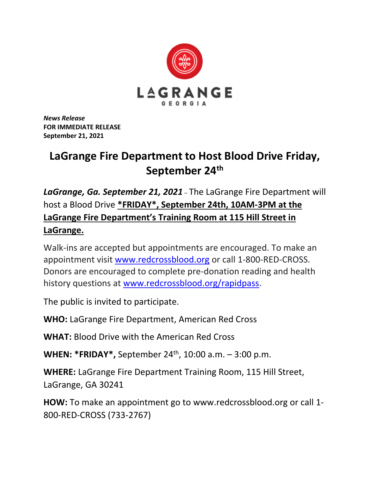

*News Release* **FOR IMMEDIATE RELEASE September 21, 2021**

## **LaGrange Fire Department to Host Blood Drive Friday, September 24th**

*LaGrange, Ga. September 21, 2021* – The LaGrange Fire Department will host a Blood Drive **\*FRIDAY\*, September 24th, 10AM-3PM at the LaGrange Fire Department's Training Room at 115 Hill Street in LaGrange.**

Walk-ins are accepted but appointments are encouraged. To make an appointment visit [www.redcrossblood.org](http://www.redcrossblood.org/) or call 1-800-RED-CROSS. Donors are encouraged to complete pre-donation reading and health history questions at [www.redcrossblood.org/rapidpass.](http://www.redcrossblood.org/rapidpass)

The public is invited to participate.

**WHO:** LaGrange Fire Department, American Red Cross

**WHAT:** Blood Drive with the American Red Cross

**WHEN: \*FRIDAY\*,** September 24<sup>th</sup>, 10:00 a.m. – 3:00 p.m.

**WHERE:** LaGrange Fire Department Training Room, 115 Hill Street, LaGrange, GA 30241

**HOW:** To make an appointment go to www.redcrossblood.org or call 1- 800-RED-CROSS (733-2767)